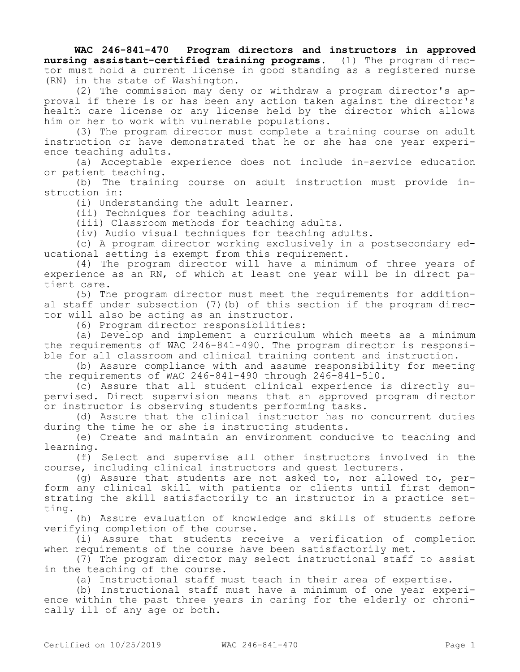**WAC 246-841-470 Program directors and instructors in approved nursing assistant-certified training programs.** (1) The program director must hold a current license in good standing as a registered nurse (RN) in the state of Washington.

(2) The commission may deny or withdraw a program director's approval if there is or has been any action taken against the director's health care license or any license held by the director which allows him or her to work with vulnerable populations.

(3) The program director must complete a training course on adult instruction or have demonstrated that he or she has one year experience teaching adults.

(a) Acceptable experience does not include in-service education or patient teaching.

(b) The training course on adult instruction must provide instruction in:

(i) Understanding the adult learner.

(ii) Techniques for teaching adults.

(iii) Classroom methods for teaching adults.

(iv) Audio visual techniques for teaching adults.

(c) A program director working exclusively in a postsecondary educational setting is exempt from this requirement.

(4) The program director will have a minimum of three years of experience as an RN, of which at least one year will be in direct patient care.

(5) The program director must meet the requirements for additional staff under subsection (7)(b) of this section if the program director will also be acting as an instructor.

(6) Program director responsibilities:

(a) Develop and implement a curriculum which meets as a minimum the requirements of WAC 246-841-490. The program director is responsible for all classroom and clinical training content and instruction.

(b) Assure compliance with and assume responsibility for meeting the requirements of WAC 246-841-490 through 246-841-510.

(c) Assure that all student clinical experience is directly supervised. Direct supervision means that an approved program director or instructor is observing students performing tasks.

(d) Assure that the clinical instructor has no concurrent duties during the time he or she is instructing students.

(e) Create and maintain an environment conducive to teaching and learning.

(f) Select and supervise all other instructors involved in the course, including clinical instructors and guest lecturers.

(g) Assure that students are not asked to, nor allowed to, perform any clinical skill with patients or clients until first demonstrating the skill satisfactorily to an instructor in a practice setting.

(h) Assure evaluation of knowledge and skills of students before verifying completion of the course.

(i) Assure that students receive a verification of completion when requirements of the course have been satisfactorily met.

(7) The program director may select instructional staff to assist in the teaching of the course.

(a) Instructional staff must teach in their area of expertise.

(b) Instructional staff must have a minimum of one year experience within the past three years in caring for the elderly or chronically ill of any age or both.